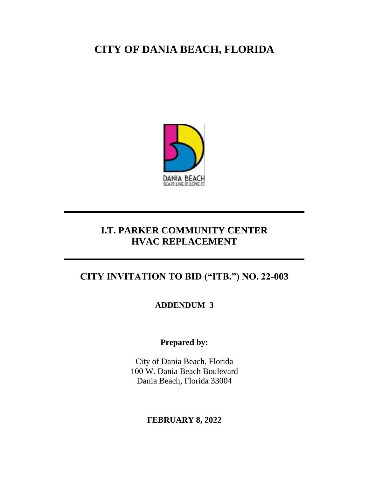# **CITY OF DANIA BEACH, FLORIDA**



### **I.T. PARKER COMMUNITY CENTER HVAC REPLACEMENT**

## **CITY INVITATION TO BID ("ITB.") NO. 22-003**

**ADDENDUM 3**

**Prepared by:**

City of Dania Beach, Florida 100 W. Dania Beach Boulevard Dania Beach, Florida 33004

### **FEBRUARY 8, 2022**